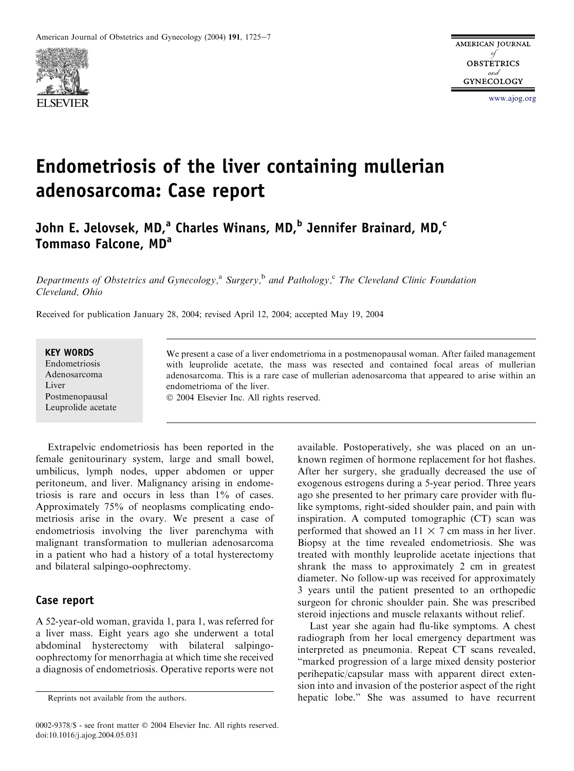

# Endometriosis of the liver containing mullerian adenosarcoma: Case report

John E. Jelovsek, MD,<sup>a</sup> Charles Winans, MD,<sup>b</sup> Jennifer Brainard, MD,<sup>c</sup> Tommaso Falcone, MD<sup>a</sup>

Departments of Obstetrics and Gynecology,<sup>a</sup> Surgery,<sup>b</sup> and Pathology,<sup>c</sup> The Cleveland Clinic Foundation Cleveland, Ohio

Received for publication January 28, 2004; revised April 12, 2004; accepted May 19, 2004

#### KEY WORDS

Endometriosis Adenosarcoma **Liver** Postmenopausal Leuprolide acetate

We present a case of a liver endometrioma in a postmenopausal woman. After failed management with leuprolide acetate, the mass was resected and contained focal areas of mullerian adenosarcoma. This is a rare case of mullerian adenosarcoma that appeared to arise within an endometrioma of the liver.

2004 Elsevier Inc. All rights reserved.

Extrapelvic endometriosis has been reported in the female genitourinary system, large and small bowel, umbilicus, lymph nodes, upper abdomen or upper peritoneum, and liver. Malignancy arising in endometriosis is rare and occurs in less than 1% of cases. Approximately 75% of neoplasms complicating endometriosis arise in the ovary. We present a case of endometriosis involving the liver parenchyma with malignant transformation to mullerian adenosarcoma in a patient who had a history of a total hysterectomy and bilateral salpingo-oophrectomy.

### Case report

A 52-year-old woman, gravida 1, para 1, was referred for a liver mass. Eight years ago she underwent a total abdominal hysterectomy with bilateral salpingooophrectomy for menorrhagia at which time she received a diagnosis of endometriosis. Operative reports were not

available. Postoperatively, she was placed on an unknown regimen of hormone replacement for hot flashes. After her surgery, she gradually decreased the use of exogenous estrogens during a 5-year period. Three years ago she presented to her primary care provider with flulike symptoms, right-sided shoulder pain, and pain with inspiration. A computed tomographic (CT) scan was performed that showed an  $11 \times 7$  cm mass in her liver. Biopsy at the time revealed endometriosis. She was treated with monthly leuprolide acetate injections that shrank the mass to approximately 2 cm in greatest diameter. No follow-up was received for approximately 3 years until the patient presented to an orthopedic surgeon for chronic shoulder pain. She was prescribed steroid injections and muscle relaxants without relief.

Last year she again had flu-like symptoms. A chest radiograph from her local emergency department was interpreted as pneumonia. Repeat CT scans revealed, ''marked progression of a large mixed density posterior perihepatic/capsular mass with apparent direct extension into and invasion of the posterior aspect of the right Reprints not available from the authors. hepatic lobe." She was assumed to have recurrent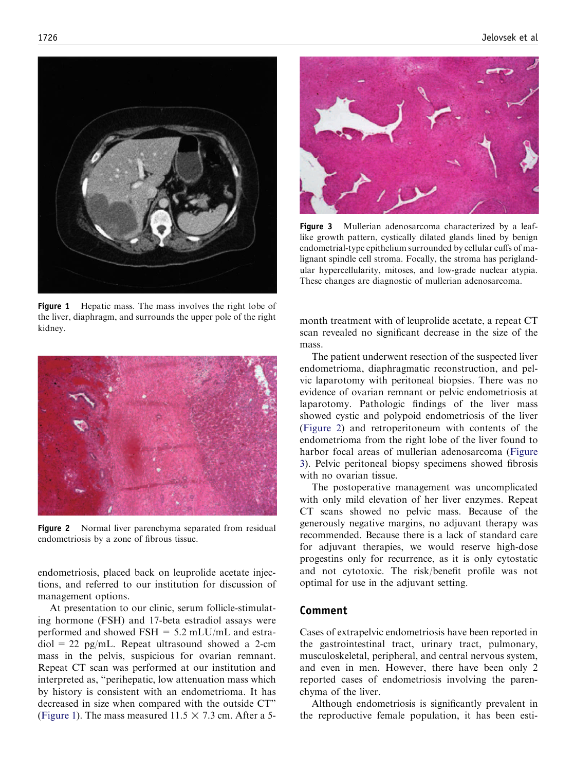

Figure 1 Hepatic mass. The mass involves the right lobe of the liver, diaphragm, and surrounds the upper pole of the right kidney.



Figure 2 Normal liver parenchyma separated from residual endometriosis by a zone of fibrous tissue.

endometriosis, placed back on leuprolide acetate injections, and referred to our institution for discussion of management options.

At presentation to our clinic, serum follicle-stimulating hormone (FSH) and 17-beta estradiol assays were performed and showed  $FSH = 5.2$  mLU/mL and estra $diol = 22$  pg/mL. Repeat ultrasound showed a 2-cm mass in the pelvis, suspicious for ovarian remnant. Repeat CT scan was performed at our institution and interpreted as, ''perihepatic, low attenuation mass which by history is consistent with an endometrioma. It has decreased in size when compared with the outside CT'' (Figure 1). The mass measured  $11.5 \times 7.3$  cm. After a 5-



Figure 3 Mullerian adenosarcoma characterized by a leaflike growth pattern, cystically dilated glands lined by benign endometrial-type epithelium surrounded by cellular cuffs of malignant spindle cell stroma. Focally, the stroma has periglandular hypercellularity, mitoses, and low-grade nuclear atypia. These changes are diagnostic of mullerian adenosarcoma.

month treatment with of leuprolide acetate, a repeat CT scan revealed no significant decrease in the size of the mass.

The patient underwent resection of the suspected liver endometrioma, diaphragmatic reconstruction, and pelvic laparotomy with peritoneal biopsies. There was no evidence of ovarian remnant or pelvic endometriosis at laparotomy. Pathologic findings of the liver mass showed cystic and polypoid endometriosis of the liver (Figure 2) and retroperitoneum with contents of the endometrioma from the right lobe of the liver found to harbor focal areas of mullerian adenosarcoma (Figure 3). Pelvic peritoneal biopsy specimens showed fibrosis with no ovarian tissue.

The postoperative management was uncomplicated with only mild elevation of her liver enzymes. Repeat CT scans showed no pelvic mass. Because of the generously negative margins, no adjuvant therapy was recommended. Because there is a lack of standard care for adjuvant therapies, we would reserve high-dose progestins only for recurrence, as it is only cytostatic and not cytotoxic. The risk/benefit profile was not optimal for use in the adjuvant setting.

## Comment

Cases of extrapelvic endometriosis have been reported in the gastrointestinal tract, urinary tract, pulmonary, musculoskeletal, peripheral, and central nervous system, and even in men. However, there have been only 2 reported cases of endometriosis involving the parenchyma of the liver.

Although endometriosis is significantly prevalent in the reproductive female population, it has been esti